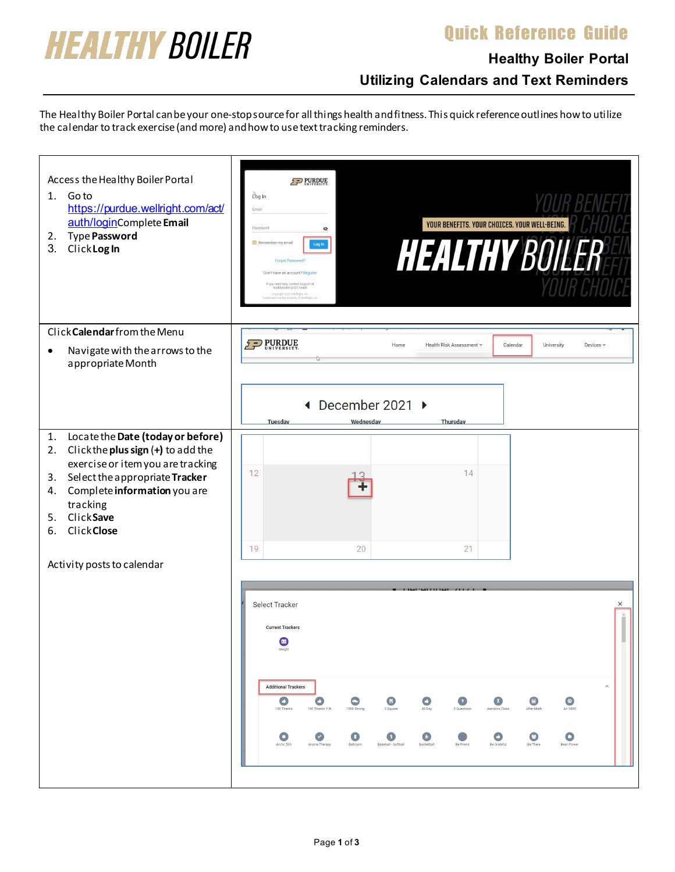### Quick Reference Guide



## **Healthy Boiler Portal Utilizing Calendars and Text Reminders**

The Healthy Boiler Portal can be your one-stop source for all things health and fitness. This quick reference outlines how to utilize the calendar to track exercise (and more) and how to use text tracking reminders.

| Access the Healthy Boiler Portal<br>Go to<br>1.<br>https://purdue.wellright.com/act/<br>auth/loginComplete Email<br><b>Type Password</b><br>2.<br>3.<br>ClickLogIn                                                                                                | $5 - PURDUE$<br>Log In<br>Email<br>YOUR BENEFITS. YOUR CHOICES. YOUR WELL-BEING.<br>Password<br>Ø<br><b>HEALTHY BOILER</b><br>Remember my email<br>Log In<br>Forgot Password?<br>Don't have an account? Register<br>If you need help, contact Support at<br>healthyboiler@121.health<br>Copyright 2021 WellRight, Inc<br>a are the property of WellRight                                                                                                                                                                                                                                                                                                                            |
|-------------------------------------------------------------------------------------------------------------------------------------------------------------------------------------------------------------------------------------------------------------------|-------------------------------------------------------------------------------------------------------------------------------------------------------------------------------------------------------------------------------------------------------------------------------------------------------------------------------------------------------------------------------------------------------------------------------------------------------------------------------------------------------------------------------------------------------------------------------------------------------------------------------------------------------------------------------------|
| Click Calendar from the Menu<br>Navigate with the arrows to the<br>$\bullet$<br>appropriate Month                                                                                                                                                                 | PURDUE<br>Calendar<br>Home<br>Health Risk Assessment v<br>University<br>Devices $\vee$                                                                                                                                                                                                                                                                                                                                                                                                                                                                                                                                                                                              |
|                                                                                                                                                                                                                                                                   | December 2021 ▶<br>◀<br>Thursday<br><b>Tuesdav</b><br>Wednesdav                                                                                                                                                                                                                                                                                                                                                                                                                                                                                                                                                                                                                     |
| Locate the Date (today or before)<br>1.<br>Click the plus sign (+) to add the<br>2.<br>exercise or item you are tracking<br>Select the appropriate Tracker<br>3.<br>Complete information you are<br>4.<br>tracking<br>ClickSave<br>5.<br><b>Click Close</b><br>6. | 12<br>14                                                                                                                                                                                                                                                                                                                                                                                                                                                                                                                                                                                                                                                                            |
| Activity posts to calendar                                                                                                                                                                                                                                        | 19<br>20<br>21<br>Select Tracker<br>×<br><b>Current Trackers</b><br>◙<br>Weight<br><b>Additional Trackers</b><br>$\widehat{\phantom{a}}$<br>$\bullet$<br>$\bullet$<br>$\overline{X}$<br>$\begin{array}{c} \begin{array}{c} \hline \end{array} \end{array}$<br>O<br>$\bullet$<br>$\bullet$<br>$\bullet$<br>$\circ$<br>100 Thanks<br>100 Thanks Y/N<br>After Math<br>1000 Strong<br>3 Square<br>40 Day<br>5 Questions<br>Aerobics Class<br>Air 1000<br>$\bullet$<br>$\bullet$<br>o<br>$\bullet$<br>$\bigcirc$<br>Θ<br>$\left(x^{2}\right)$<br>o<br>Arctic 500<br>Aroma Therapy<br>Ballroom<br>Baseball - Softball<br>Basketball<br>Be Friend<br>Be Grateful<br>Be There<br>Bean Power |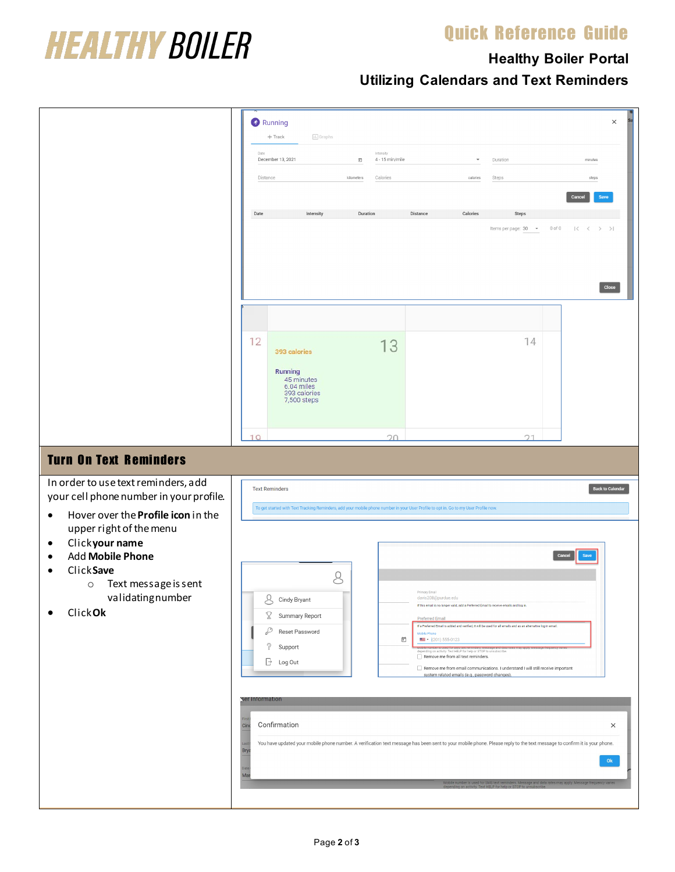#### Quick Reference Guide



# **Healthy Boiler Portal**

**Utilizing Calendars and Text Reminders**